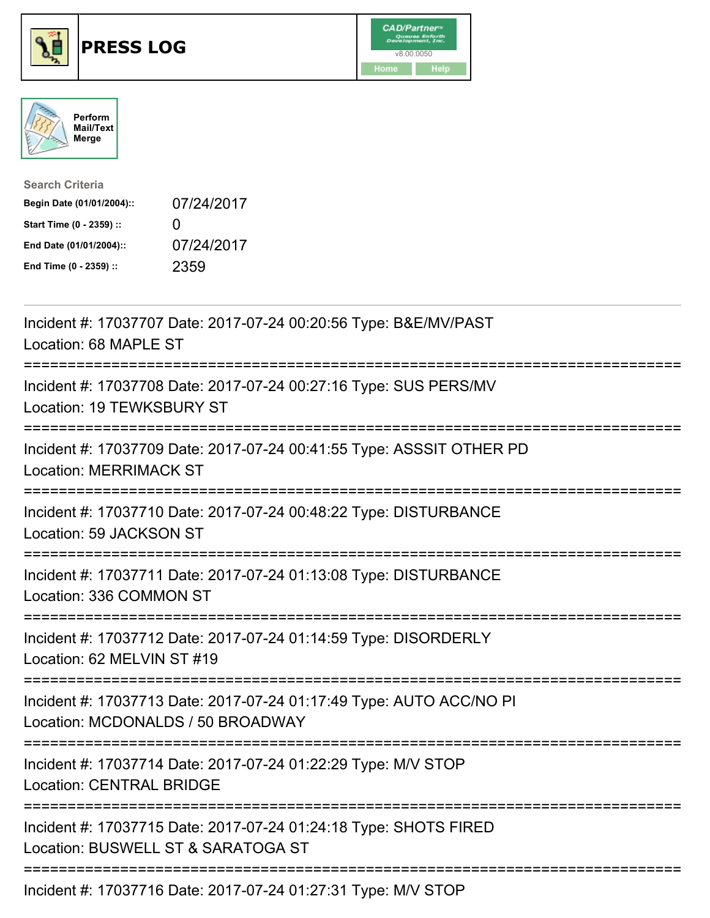





| <b>Search Criteria</b>    |              |
|---------------------------|--------------|
| Begin Date (01/01/2004):: | 07/24/2017   |
| Start Time (0 - 2359) ::  | $\mathbf{0}$ |
| End Date (01/01/2004)::   | 07/24/2017   |
| End Time (0 - 2359) ::    | 2359         |

| Incident #: 17037707 Date: 2017-07-24 00:20:56 Type: B&E/MV/PAST<br>Location: 68 MAPLE ST                                              |
|----------------------------------------------------------------------------------------------------------------------------------------|
| Incident #: 17037708 Date: 2017-07-24 00:27:16 Type: SUS PERS/MV<br>Location: 19 TEWKSBURY ST                                          |
| Incident #: 17037709 Date: 2017-07-24 00:41:55 Type: ASSSIT OTHER PD<br><b>Location: MERRIMACK ST</b><br>--------------                |
| Incident #: 17037710 Date: 2017-07-24 00:48:22 Type: DISTURBANCE<br>Location: 59 JACKSON ST<br>===================                     |
| Incident #: 17037711 Date: 2017-07-24 01:13:08 Type: DISTURBANCE<br>Location: 336 COMMON ST<br>-----------------                       |
| Incident #: 17037712 Date: 2017-07-24 01:14:59 Type: DISORDERLY<br>Location: 62 MELVIN ST #19<br>===================================== |
| Incident #: 17037713 Date: 2017-07-24 01:17:49 Type: AUTO ACC/NO PI<br>Location: MCDONALDS / 50 BROADWAY                               |
| Incident #: 17037714 Date: 2017-07-24 01:22:29 Type: M/V STOP<br><b>Location: CENTRAL BRIDGE</b>                                       |
| Incident #: 17037715 Date: 2017-07-24 01:24:18 Type: SHOTS FIRED<br>Location: BUSWELL ST & SARATOGA ST                                 |
| =============================<br>Incident #: 17037716 Date: 2017-07-24 01:27:31 Type: M/V STOP                                         |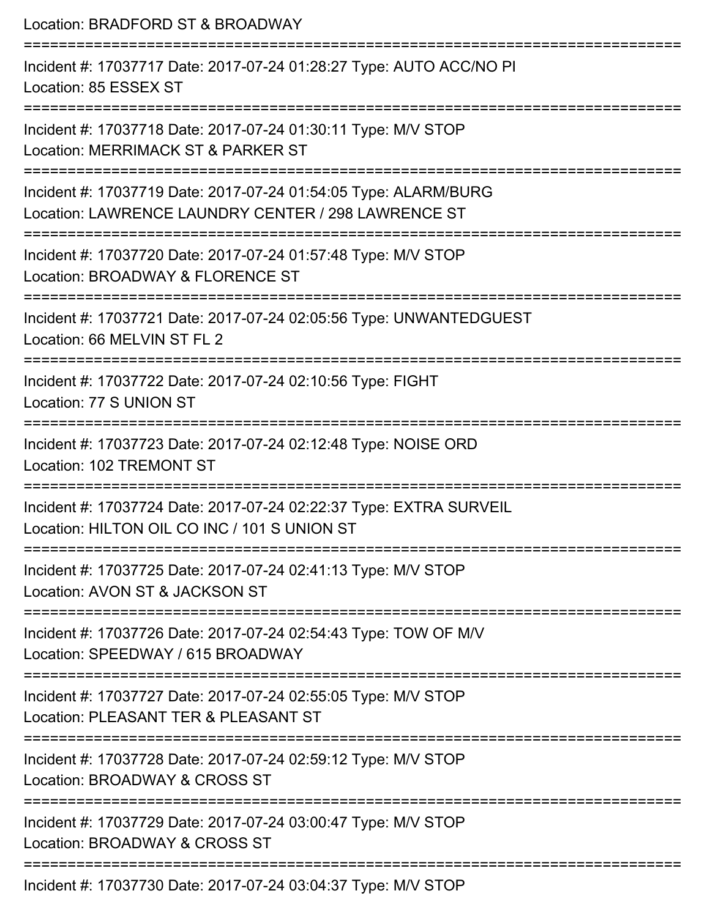| Location: BRADFORD ST & BROADWAY                                                                                                                            |
|-------------------------------------------------------------------------------------------------------------------------------------------------------------|
| Incident #: 17037717 Date: 2017-07-24 01:28:27 Type: AUTO ACC/NO PI<br>Location: 85 ESSEX ST                                                                |
| Incident #: 17037718 Date: 2017-07-24 01:30:11 Type: M/V STOP<br>Location: MERRIMACK ST & PARKER ST                                                         |
| Incident #: 17037719 Date: 2017-07-24 01:54:05 Type: ALARM/BURG<br>Location: LAWRENCE LAUNDRY CENTER / 298 LAWRENCE ST                                      |
| Incident #: 17037720 Date: 2017-07-24 01:57:48 Type: M/V STOP<br>Location: BROADWAY & FLORENCE ST<br>=====================                                  |
| Incident #: 17037721 Date: 2017-07-24 02:05:56 Type: UNWANTEDGUEST<br>Location: 66 MELVIN ST FL 2                                                           |
| Incident #: 17037722 Date: 2017-07-24 02:10:56 Type: FIGHT<br>Location: 77 S UNION ST                                                                       |
| Incident #: 17037723 Date: 2017-07-24 02:12:48 Type: NOISE ORD<br>Location: 102 TREMONT ST                                                                  |
| -------------------------------------<br>Incident #: 17037724 Date: 2017-07-24 02:22:37 Type: EXTRA SURVEIL<br>Location: HILTON OIL CO INC / 101 S UNION ST |
| Incident #: 17037725 Date: 2017-07-24 02:41:13 Type: M/V STOP<br>Location: AVON ST & JACKSON ST                                                             |
| Incident #: 17037726 Date: 2017-07-24 02:54:43 Type: TOW OF M/V<br>Location: SPEEDWAY / 615 BROADWAY                                                        |
| Incident #: 17037727 Date: 2017-07-24 02:55:05 Type: M/V STOP<br>Location: PLEASANT TER & PLEASANT ST                                                       |
| Incident #: 17037728 Date: 2017-07-24 02:59:12 Type: M/V STOP<br>Location: BROADWAY & CROSS ST                                                              |
| Incident #: 17037729 Date: 2017-07-24 03:00:47 Type: M/V STOP<br>Location: BROADWAY & CROSS ST                                                              |
|                                                                                                                                                             |

Incident #: 17037730 Date: 2017-07-24 03:04:37 Type: M/V STOP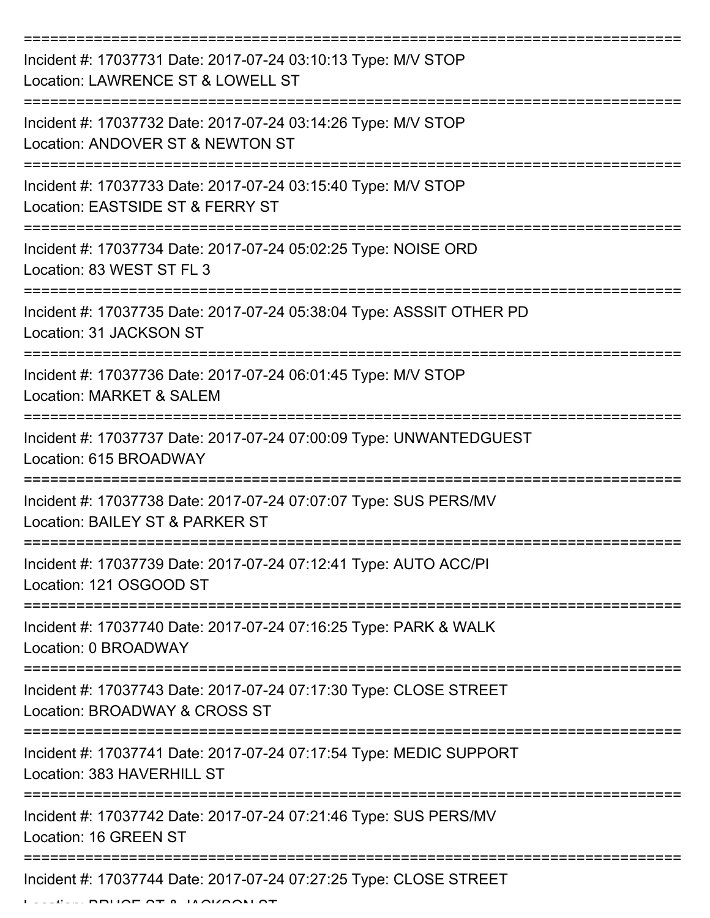| Incident #: 17037731 Date: 2017-07-24 03:10:13 Type: M/V STOP<br>Location: LAWRENCE ST & LOWELL ST  |
|-----------------------------------------------------------------------------------------------------|
| Incident #: 17037732 Date: 2017-07-24 03:14:26 Type: M/V STOP<br>Location: ANDOVER ST & NEWTON ST   |
| Incident #: 17037733 Date: 2017-07-24 03:15:40 Type: M/V STOP<br>Location: EASTSIDE ST & FERRY ST   |
| Incident #: 17037734 Date: 2017-07-24 05:02:25 Type: NOISE ORD<br>Location: 83 WEST ST FL 3         |
| Incident #: 17037735 Date: 2017-07-24 05:38:04 Type: ASSSIT OTHER PD<br>Location: 31 JACKSON ST     |
| Incident #: 17037736 Date: 2017-07-24 06:01:45 Type: M/V STOP<br>Location: MARKET & SALEM           |
| Incident #: 17037737 Date: 2017-07-24 07:00:09 Type: UNWANTEDGUEST<br>Location: 615 BROADWAY        |
| Incident #: 17037738 Date: 2017-07-24 07:07:07 Type: SUS PERS/MV<br>Location: BAILEY ST & PARKER ST |
| Incident #: 17037739 Date: 2017-07-24 07:12:41 Type: AUTO ACC/PI<br>Location: 121 OSGOOD ST         |
| Incident #: 17037740 Date: 2017-07-24 07:16:25 Type: PARK & WALK<br>Location: 0 BROADWAY            |
| Incident #: 17037743 Date: 2017-07-24 07:17:30 Type: CLOSE STREET<br>Location: BROADWAY & CROSS ST  |
| Incident #: 17037741 Date: 2017-07-24 07:17:54 Type: MEDIC SUPPORT<br>Location: 383 HAVERHILL ST    |
| Incident #: 17037742 Date: 2017-07-24 07:21:46 Type: SUS PERS/MV<br>Location: 16 GREEN ST           |
| Incident #: 17037744 Date: 2017-07-24 07:27:25 Type: CLOSE STREET                                   |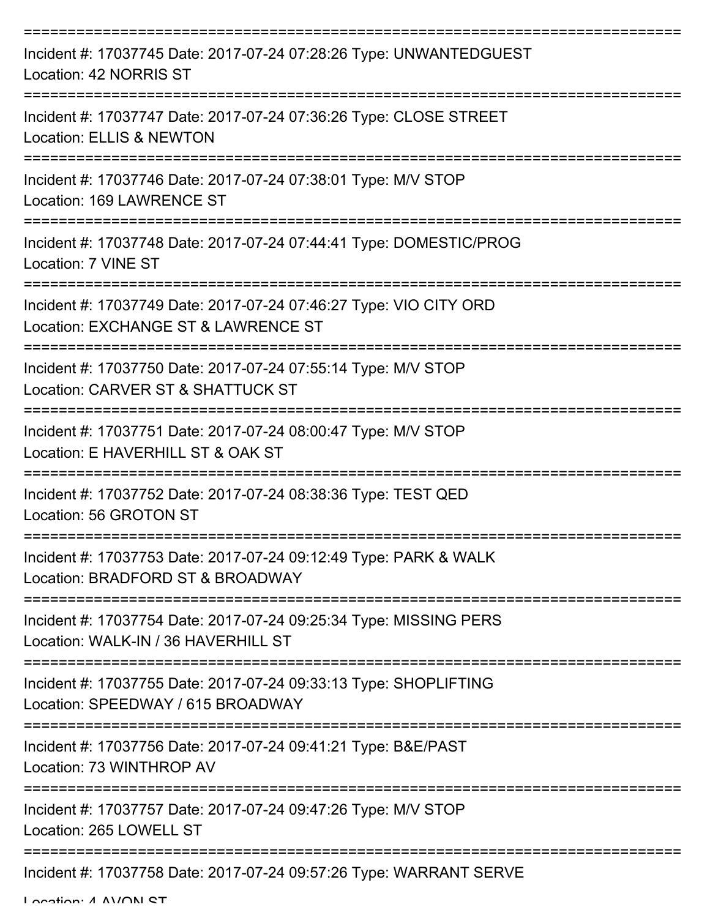| Incident #: 17037745 Date: 2017-07-24 07:28:26 Type: UNWANTEDGUEST<br>Location: 42 NORRIS ST             |
|----------------------------------------------------------------------------------------------------------|
| Incident #: 17037747 Date: 2017-07-24 07:36:26 Type: CLOSE STREET<br><b>Location: ELLIS &amp; NEWTON</b> |
| Incident #: 17037746 Date: 2017-07-24 07:38:01 Type: M/V STOP<br>Location: 169 LAWRENCE ST               |
| Incident #: 17037748 Date: 2017-07-24 07:44:41 Type: DOMESTIC/PROG<br>Location: 7 VINE ST                |
| Incident #: 17037749 Date: 2017-07-24 07:46:27 Type: VIO CITY ORD<br>Location: EXCHANGE ST & LAWRENCE ST |
| Incident #: 17037750 Date: 2017-07-24 07:55:14 Type: M/V STOP<br>Location: CARVER ST & SHATTUCK ST       |
| Incident #: 17037751 Date: 2017-07-24 08:00:47 Type: M/V STOP<br>Location: E HAVERHILL ST & OAK ST       |
| Incident #: 17037752 Date: 2017-07-24 08:38:36 Type: TEST QED<br>Location: 56 GROTON ST                  |
| Incident #: 17037753 Date: 2017-07-24 09:12:49 Type: PARK & WALK<br>Location: BRADFORD ST & BROADWAY     |
| Incident #: 17037754 Date: 2017-07-24 09:25:34 Type: MISSING PERS<br>Location: WALK-IN / 36 HAVERHILL ST |
| Incident #: 17037755 Date: 2017-07-24 09:33:13 Type: SHOPLIFTING<br>Location: SPEEDWAY / 615 BROADWAY    |
| Incident #: 17037756 Date: 2017-07-24 09:41:21 Type: B&E/PAST<br>Location: 73 WINTHROP AV                |
| Incident #: 17037757 Date: 2017-07-24 09:47:26 Type: M/V STOP<br>Location: 265 LOWELL ST                 |
| Incident #: 17037758 Date: 2017-07-24 09:57:26 Type: WARRANT SERVE                                       |

Location: A AVON ST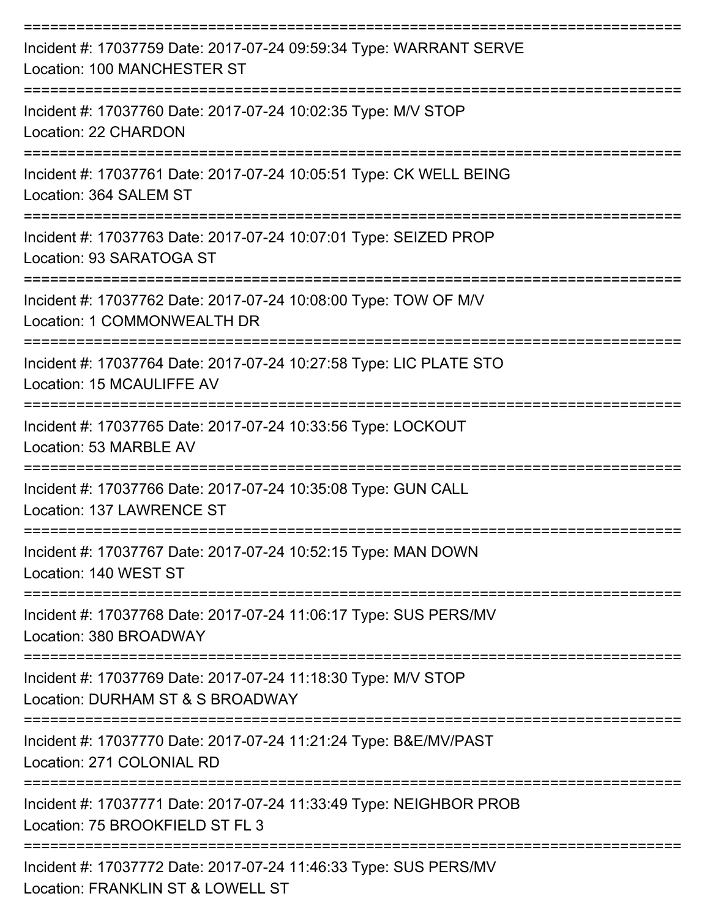| Incident #: 17037759 Date: 2017-07-24 09:59:34 Type: WARRANT SERVE<br>Location: 100 MANCHESTER ST     |
|-------------------------------------------------------------------------------------------------------|
| Incident #: 17037760 Date: 2017-07-24 10:02:35 Type: M/V STOP<br>Location: 22 CHARDON                 |
| Incident #: 17037761 Date: 2017-07-24 10:05:51 Type: CK WELL BEING<br>Location: 364 SALEM ST          |
| Incident #: 17037763 Date: 2017-07-24 10:07:01 Type: SEIZED PROP<br>Location: 93 SARATOGA ST          |
| Incident #: 17037762 Date: 2017-07-24 10:08:00 Type: TOW OF M/V<br>Location: 1 COMMONWEALTH DR        |
| Incident #: 17037764 Date: 2017-07-24 10:27:58 Type: LIC PLATE STO<br>Location: 15 MCAULIFFE AV       |
| Incident #: 17037765 Date: 2017-07-24 10:33:56 Type: LOCKOUT<br>Location: 53 MARBLE AV                |
| Incident #: 17037766 Date: 2017-07-24 10:35:08 Type: GUN CALL<br>Location: 137 LAWRENCE ST            |
| Incident #: 17037767 Date: 2017-07-24 10:52:15 Type: MAN DOWN<br>Location: 140 WEST ST                |
| Incident #: 17037768 Date: 2017-07-24 11:06:17 Type: SUS PERS/MV<br>Location: 380 BROADWAY            |
| Incident #: 17037769 Date: 2017-07-24 11:18:30 Type: M/V STOP<br>Location: DURHAM ST & S BROADWAY     |
| Incident #: 17037770 Date: 2017-07-24 11:21:24 Type: B&E/MV/PAST<br>Location: 271 COLONIAL RD         |
| Incident #: 17037771 Date: 2017-07-24 11:33:49 Type: NEIGHBOR PROB<br>Location: 75 BROOKFIELD ST FL 3 |
| Incident #: 17037772 Date: 2017-07-24 11:46:33 Type: SUS PERS/MV<br>Location: FRANKLIN ST & LOWELL ST |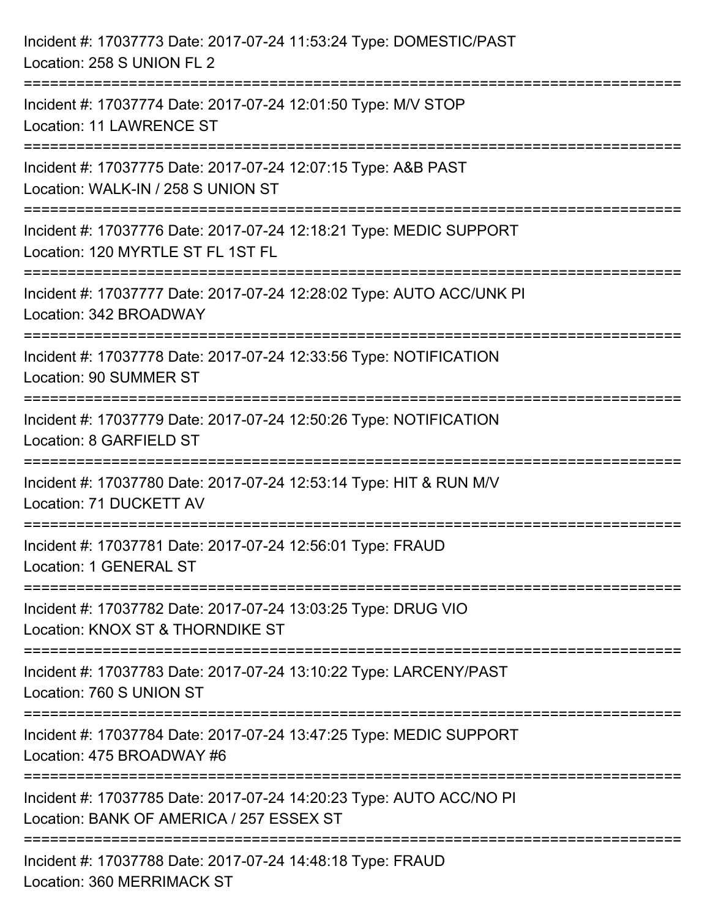| Incident #: 17037773 Date: 2017-07-24 11:53:24 Type: DOMESTIC/PAST<br>Location: 258 S UNION FL 2                                   |
|------------------------------------------------------------------------------------------------------------------------------------|
| =====================================<br>Incident #: 17037774 Date: 2017-07-24 12:01:50 Type: M/V STOP<br>Location: 11 LAWRENCE ST |
| Incident #: 17037775 Date: 2017-07-24 12:07:15 Type: A&B PAST<br>Location: WALK-IN / 258 S UNION ST                                |
| Incident #: 17037776 Date: 2017-07-24 12:18:21 Type: MEDIC SUPPORT<br>Location: 120 MYRTLE ST FL 1ST FL                            |
| Incident #: 17037777 Date: 2017-07-24 12:28:02 Type: AUTO ACC/UNK PI<br>Location: 342 BROADWAY                                     |
| Incident #: 17037778 Date: 2017-07-24 12:33:56 Type: NOTIFICATION<br>Location: 90 SUMMER ST                                        |
| Incident #: 17037779 Date: 2017-07-24 12:50:26 Type: NOTIFICATION<br>Location: 8 GARFIELD ST                                       |
| Incident #: 17037780 Date: 2017-07-24 12:53:14 Type: HIT & RUN M/V<br>Location: 71 DUCKETT AV                                      |
| Incident #: 17037781 Date: 2017-07-24 12:56:01 Type: FRAUD<br>Location: 1 GENERAL ST                                               |
| Incident #: 17037782 Date: 2017-07-24 13:03:25 Type: DRUG VIO<br>Location: KNOX ST & THORNDIKE ST                                  |
| Incident #: 17037783 Date: 2017-07-24 13:10:22 Type: LARCENY/PAST<br>Location: 760 S UNION ST                                      |
| Incident #: 17037784 Date: 2017-07-24 13:47:25 Type: MEDIC SUPPORT<br>Location: 475 BROADWAY #6                                    |
| Incident #: 17037785 Date: 2017-07-24 14:20:23 Type: AUTO ACC/NO PI<br>Location: BANK OF AMERICA / 257 ESSEX ST                    |
| Incident #: 17037788 Date: 2017-07-24 14:48:18 Type: FRAUD<br>Location: 360 MERRIMACK ST                                           |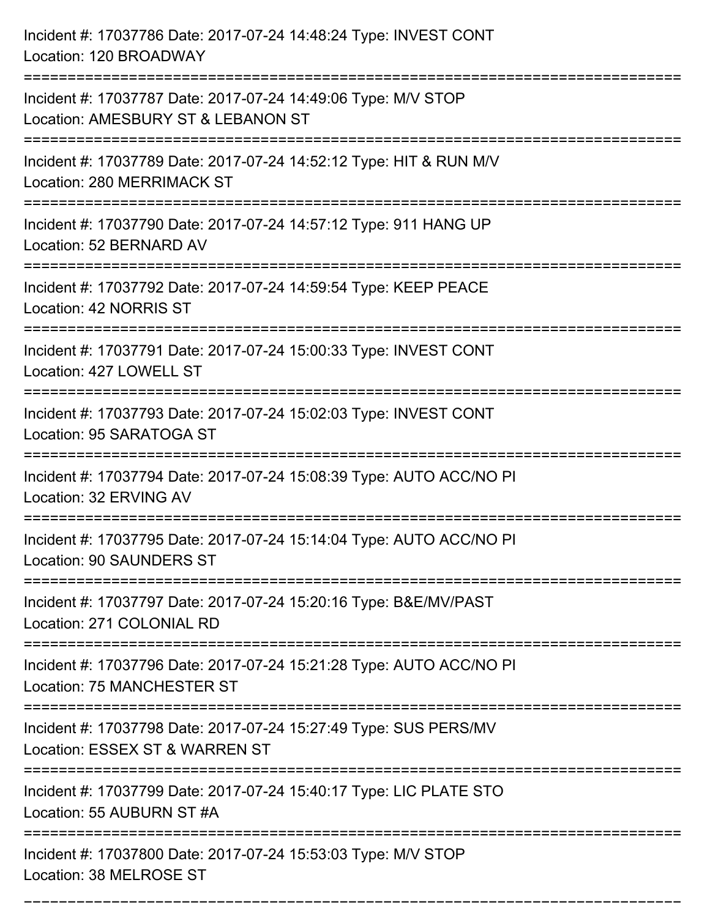| Incident #: 17037786 Date: 2017-07-24 14:48:24 Type: INVEST CONT<br>Location: 120 BROADWAY                      |
|-----------------------------------------------------------------------------------------------------------------|
| Incident #: 17037787 Date: 2017-07-24 14:49:06 Type: M/V STOP<br>Location: AMESBURY ST & LEBANON ST             |
| Incident #: 17037789 Date: 2017-07-24 14:52:12 Type: HIT & RUN M/V<br>Location: 280 MERRIMACK ST                |
| Incident #: 17037790 Date: 2017-07-24 14:57:12 Type: 911 HANG UP<br>Location: 52 BERNARD AV                     |
| Incident #: 17037792 Date: 2017-07-24 14:59:54 Type: KEEP PEACE<br>Location: 42 NORRIS ST                       |
| Incident #: 17037791 Date: 2017-07-24 15:00:33 Type: INVEST CONT<br>Location: 427 LOWELL ST                     |
| Incident #: 17037793 Date: 2017-07-24 15:02:03 Type: INVEST CONT<br>Location: 95 SARATOGA ST                    |
| Incident #: 17037794 Date: 2017-07-24 15:08:39 Type: AUTO ACC/NO PI<br>Location: 32 ERVING AV                   |
| Incident #: 17037795 Date: 2017-07-24 15:14:04 Type: AUTO ACC/NO PI<br><b>Location: 90 SAUNDERS ST</b>          |
| Incident #: 17037797 Date: 2017-07-24 15:20:16 Type: B&E/MV/PAST<br>Location: 271 COLONIAL RD                   |
| Incident #: 17037796 Date: 2017-07-24 15:21:28 Type: AUTO ACC/NO PI<br>Location: 75 MANCHESTER ST               |
| Incident #: 17037798 Date: 2017-07-24 15:27:49 Type: SUS PERS/MV<br>Location: ESSEX ST & WARREN ST<br>========= |
| Incident #: 17037799 Date: 2017-07-24 15:40:17 Type: LIC PLATE STO<br>Location: 55 AUBURN ST #A                 |
| Incident #: 17037800 Date: 2017-07-24 15:53:03 Type: M/V STOP<br>Location: 38 MELROSE ST                        |

===========================================================================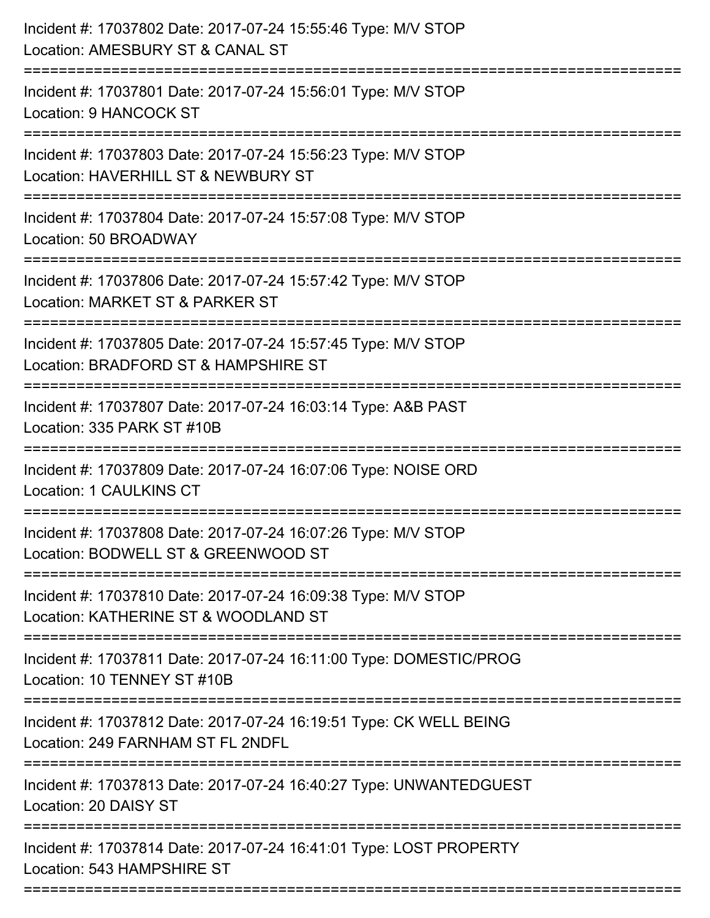| Incident #: 17037802 Date: 2017-07-24 15:55:46 Type: M/V STOP<br>Location: AMESBURY ST & CANAL ST<br>===========================        |
|-----------------------------------------------------------------------------------------------------------------------------------------|
| Incident #: 17037801 Date: 2017-07-24 15:56:01 Type: M/V STOP<br>Location: 9 HANCOCK ST                                                 |
| Incident #: 17037803 Date: 2017-07-24 15:56:23 Type: M/V STOP<br>Location: HAVERHILL ST & NEWBURY ST<br>==============================  |
| Incident #: 17037804 Date: 2017-07-24 15:57:08 Type: M/V STOP<br>Location: 50 BROADWAY<br>-----------------------------------           |
| Incident #: 17037806 Date: 2017-07-24 15:57:42 Type: M/V STOP<br>Location: MARKET ST & PARKER ST                                        |
| Incident #: 17037805 Date: 2017-07-24 15:57:45 Type: M/V STOP<br>Location: BRADFORD ST & HAMPSHIRE ST<br>============================== |
| Incident #: 17037807 Date: 2017-07-24 16:03:14 Type: A&B PAST<br>Location: 335 PARK ST #10B                                             |
| Incident #: 17037809 Date: 2017-07-24 16:07:06 Type: NOISE ORD<br><b>Location: 1 CAULKINS CT</b>                                        |
| Incident #: 17037808 Date: 2017-07-24 16:07:26 Type: M/V STOP<br>Location: BODWELL ST & GREENWOOD ST                                    |
| Incident #: 17037810 Date: 2017-07-24 16:09:38 Type: M/V STOP<br>Location: KATHERINE ST & WOODLAND ST                                   |
| Incident #: 17037811 Date: 2017-07-24 16:11:00 Type: DOMESTIC/PROG<br>Location: 10 TENNEY ST #10B                                       |
| Incident #: 17037812 Date: 2017-07-24 16:19:51 Type: CK WELL BEING<br>Location: 249 FARNHAM ST FL 2NDFL                                 |
| Incident #: 17037813 Date: 2017-07-24 16:40:27 Type: UNWANTEDGUEST<br>Location: 20 DAISY ST                                             |
| Incident #: 17037814 Date: 2017-07-24 16:41:01 Type: LOST PROPERTY<br>Location: 543 HAMPSHIRE ST                                        |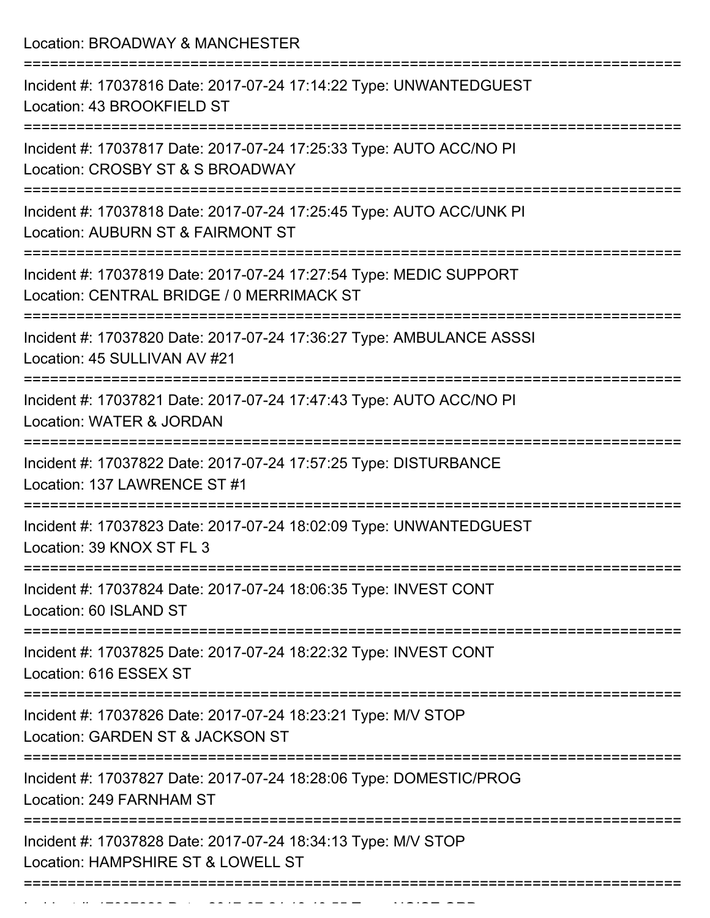Location: BROADWAY & MANCHESTER =========================================================================== Incident #: 17037816 Date: 2017-07-24 17:14:22 Type: UNWANTEDGUEST Location: 43 BROOKFIELD ST =========================================================================== Incident #: 17037817 Date: 2017-07-24 17:25:33 Type: AUTO ACC/NO PI Location: CROSBY ST & S BROADWAY =========================================================================== Incident #: 17037818 Date: 2017-07-24 17:25:45 Type: AUTO ACC/UNK PI Location: AUBURN ST & FAIRMONT ST =========================================================================== Incident #: 17037819 Date: 2017-07-24 17:27:54 Type: MEDIC SUPPORT Location: CENTRAL BRIDGE / 0 MERRIMACK ST =========================================================================== Incident #: 17037820 Date: 2017-07-24 17:36:27 Type: AMBULANCE ASSSI Location: 45 SULLIVAN AV #21 =========================================================================== Incident #: 17037821 Date: 2017-07-24 17:47:43 Type: AUTO ACC/NO PI Location: WATER & JORDAN =========================================================================== Incident #: 17037822 Date: 2017-07-24 17:57:25 Type: DISTURBANCE Location: 137 LAWRENCE ST #1 =========================================================================== Incident #: 17037823 Date: 2017-07-24 18:02:09 Type: UNWANTEDGUEST Location: 39 KNOX ST FL 3 =========================================================================== Incident #: 17037824 Date: 2017-07-24 18:06:35 Type: INVEST CONT Location: 60 ISLAND ST =========================================================================== Incident #: 17037825 Date: 2017-07-24 18:22:32 Type: INVEST CONT Location: 616 ESSEX ST =========================================================================== Incident #: 17037826 Date: 2017-07-24 18:23:21 Type: M/V STOP Location: GARDEN ST & JACKSON ST =========================================================================== Incident #: 17037827 Date: 2017-07-24 18:28:06 Type: DOMESTIC/PROG Location: 249 FARNHAM ST =========================================================================== Incident #: 17037828 Date: 2017-07-24 18:34:13 Type: M/V STOP Location: HAMPSHIRE ST & LOWELL ST ===========================================================================

Incident #: 17037829 Date: 2017 07 24 18:40:55 Type: NOISE ORD.<br>.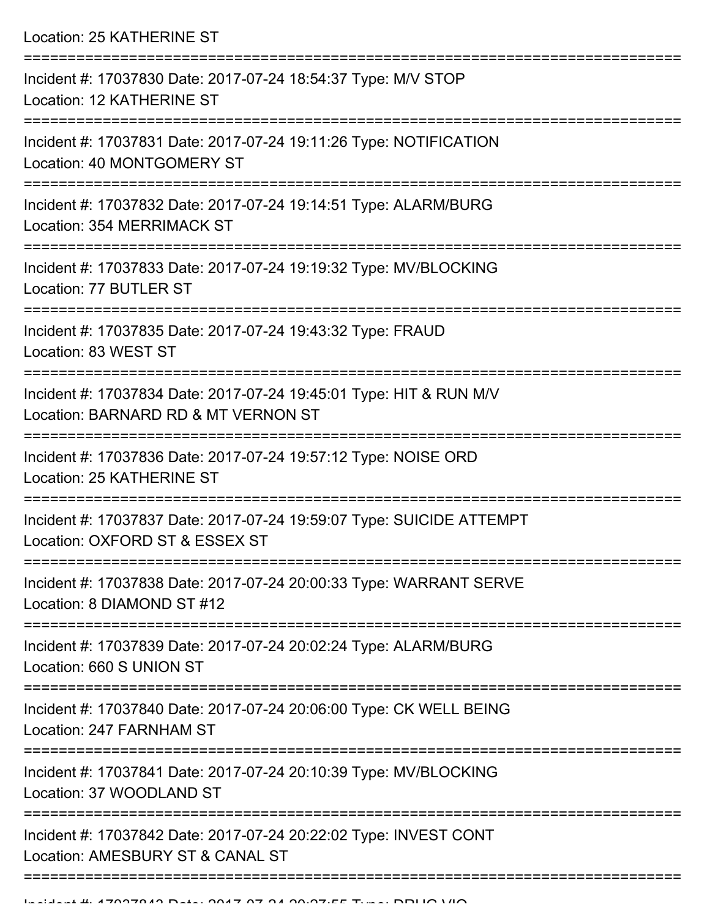Location: 25 KATHERINE ST =========================================================================== Incident #: 17037830 Date: 2017-07-24 18:54:37 Type: M/V STOP Location: 12 KATHERINE ST =========================================================================== Incident #: 17037831 Date: 2017-07-24 19:11:26 Type: NOTIFICATION Location: 40 MONTGOMERY ST =========================================================================== Incident #: 17037832 Date: 2017-07-24 19:14:51 Type: ALARM/BURG Location: 354 MERRIMACK ST =========================================================================== Incident #: 17037833 Date: 2017-07-24 19:19:32 Type: MV/BLOCKING Location: 77 BUTLER ST =========================================================================== Incident #: 17037835 Date: 2017-07-24 19:43:32 Type: FRAUD Location: 83 WEST ST =========================================================================== Incident #: 17037834 Date: 2017-07-24 19:45:01 Type: HIT & RUN M/V Location: BARNARD RD & MT VERNON ST =========================================================================== Incident #: 17037836 Date: 2017-07-24 19:57:12 Type: NOISE ORD Location: 25 KATHERINE ST =========================================================================== Incident #: 17037837 Date: 2017-07-24 19:59:07 Type: SUICIDE ATTEMPT Location: OXFORD ST & ESSEX ST =========================================================================== Incident #: 17037838 Date: 2017-07-24 20:00:33 Type: WARRANT SERVE Location: 8 DIAMOND ST #12 =========================================================================== Incident #: 17037839 Date: 2017-07-24 20:02:24 Type: ALARM/BURG Location: 660 S UNION ST =========================================================================== Incident #: 17037840 Date: 2017-07-24 20:06:00 Type: CK WELL BEING Location: 247 FARNHAM ST =========================================================================== Incident #: 17037841 Date: 2017-07-24 20:10:39 Type: MV/BLOCKING Location: 37 WOODLAND ST =========================================================================== Incident #: 17037842 Date: 2017-07-24 20:22:02 Type: INVEST CONT Location: AMESBURY ST & CANAL ST

==============================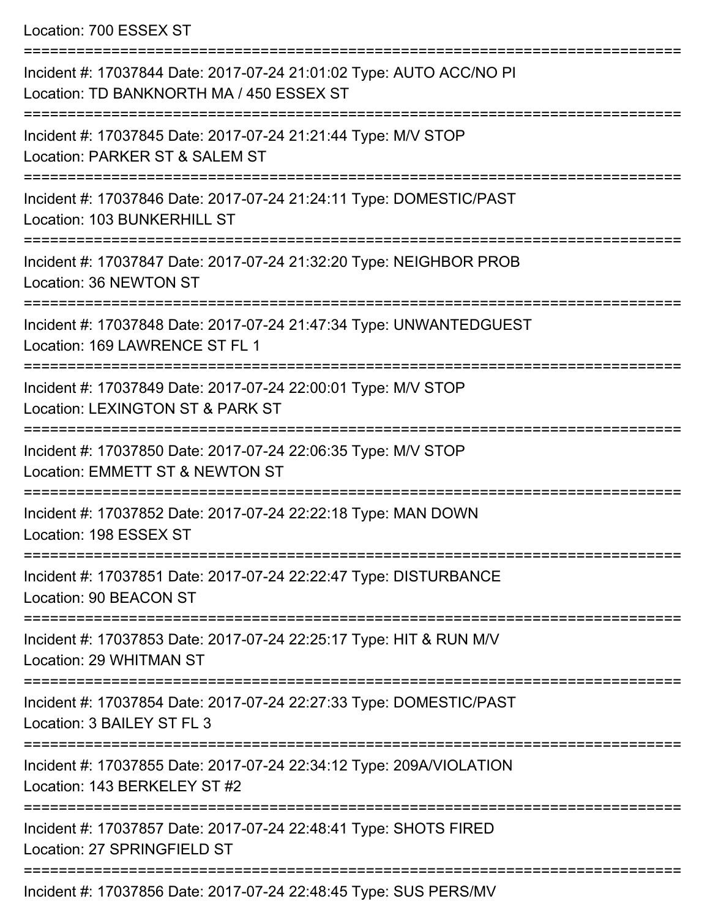Location: 700 ESSEX ST

| Incident #: 17037844 Date: 2017-07-24 21:01:02 Type: AUTO ACC/NO PI<br>Location: TD BANKNORTH MA / 450 ESSEX ST |
|-----------------------------------------------------------------------------------------------------------------|
| Incident #: 17037845 Date: 2017-07-24 21:21:44 Type: M/V STOP<br>Location: PARKER ST & SALEM ST                 |
| Incident #: 17037846 Date: 2017-07-24 21:24:11 Type: DOMESTIC/PAST<br>Location: 103 BUNKERHILL ST               |
| Incident #: 17037847 Date: 2017-07-24 21:32:20 Type: NEIGHBOR PROB<br>Location: 36 NEWTON ST                    |
| Incident #: 17037848 Date: 2017-07-24 21:47:34 Type: UNWANTEDGUEST<br>Location: 169 LAWRENCE ST FL 1            |
| Incident #: 17037849 Date: 2017-07-24 22:00:01 Type: M/V STOP<br>Location: LEXINGTON ST & PARK ST               |
| Incident #: 17037850 Date: 2017-07-24 22:06:35 Type: M/V STOP<br>Location: EMMETT ST & NEWTON ST                |
| Incident #: 17037852 Date: 2017-07-24 22:22:18 Type: MAN DOWN<br>Location: 198 ESSEX ST                         |
| Incident #: 17037851 Date: 2017-07-24 22:22:47 Type: DISTURBANCE<br>Location: 90 BEACON ST                      |
| Incident #: 17037853 Date: 2017-07-24 22:25:17 Type: HIT & RUN M/V<br>Location: 29 WHITMAN ST                   |
| Incident #: 17037854 Date: 2017-07-24 22:27:33 Type: DOMESTIC/PAST<br>Location: 3 BAILEY ST FL 3                |
| Incident #: 17037855 Date: 2017-07-24 22:34:12 Type: 209A/VIOLATION<br>Location: 143 BERKELEY ST #2             |
| Incident #: 17037857 Date: 2017-07-24 22:48:41 Type: SHOTS FIRED<br>Location: 27 SPRINGFIELD ST                 |
| Incident #: 17037856 Date: 2017-07-24 22:48:45 Type: SUS PERS/MV                                                |